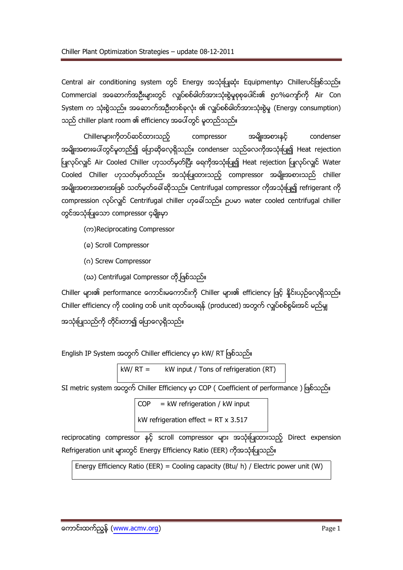Central air conditioning system တွင် Energy အသုံးပြုဆုံး Equipmentမှာ Chillerပင်ဖြစ်သည်။ Commercial အဆောက်အဦးများတွင် လျပ်စစ်ဓါတ်အားသုံးစွဲမှုစုစုပေါင်း၏ ၅ဝ%ကျော်ကို Air Con System က သုံးစွဲသည်။ အဆောက်အဦးတစ်ခုလုံး ၏ လျှပ်စစ်ဓါတ်အားသုံးစွဲမှု (Energy consumption) သည် chiller plant room ၏ efficiency အပေါ်တွင် မူတည်သည်။

Chillerများကိုတပ်ဆင်ထားသည့် compressor အမျိုးအစားနင့် condenser အမျိုးအစားပေါ်တွင်မူတည်၍ ပြောဆိုလေ့ရှိသည်။ condenser သည်လေကိုအသုံးပြု၍ Heat rejection ပြုလုပ်လျှင် Air Cooled Chiller ဟုသတ်မှတ်ပြီး ရေကိုအသုံးပြု၍ Heat rejection ပြုလုပ်လျှင် Water Cooled Chiller ဟုသတ်မှတ်သည်။ အသုံးပြုထားသည့် compressor အမျိုးအစားသည် chiller အမျိုးအစားအစားအဖြစ် သတ်မှတ်ခေါ်ဆိုသည်။ Centrifugal compressor ကိုအသုံးပြု၍ refrigerant ကို compression လုပ်လျှင် Centrifugal chiller ဟုခေါ်သည်။ ဉပမာ water cooled centrifugal chiller တွင်အသုံးပြုသော compressor ၄မျိုးမှာ

(က)Reciprocating Compressor

- (๑) Scroll Compressor
- (o) Screw Compressor
- (ဃ) Centrifugal Compressor တို့ဖြစ်သည်။

Chiller များ၏ performance ကောင်းမကောင်းကို Chiller များ၏ efficiency ဖြင့် နိုင်းယှဉ်လေ့ရှိသည်။ Chiller efficiency ကို cooling တစ် unit ထုတ်ပေးရန် (produced) အတွက် လျှပ်စစ်စွမ်းအင် မည်မှု အသုံးပြုသည်ကို တိုင်းတာ၍ ပြောလေ့ရှိသည်။

English IP System အတွက် Chiller efficiency မှာ kW/ RT ဖြစ်သည်။

 $kW/RT =$  kW input / Tons of refrigeration (RT)

SI metric system အတွက် Chiller Efficiency မှာ COP ( Coefficient of performance ) ဖြစ်သည်။

 $COP = kW$  refrigeration / kW input kW refrigeration effect =  $RT \times 3.517$ 

reciprocating compressor နှင့် scroll compressor များ အသုံးပြုထားသည့် Direct expension Refrigeration unit များတွင် Energy Efficiency Ratio (EER) ကိုအသုံးပြုသည်။

Energy Efficiency Ratio (EER) = Cooling capacity (Btu/ h) / Electric power unit (W)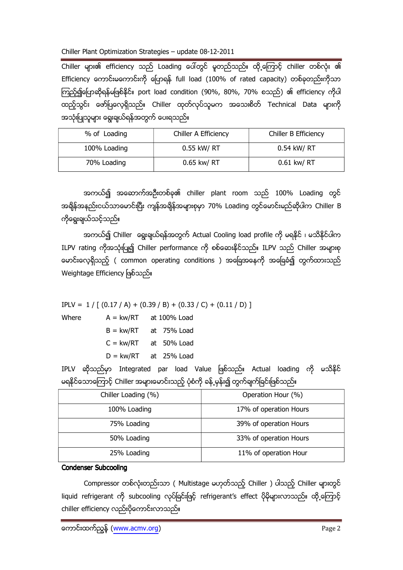Chiller Plant Optimization Strategies - update 08-12-2011

Chiller များ၏ efficiency သည် Loading ပေါ်တွင် မူတည်သည်။ ထို့ကြောင့် chiller တစ်လုံး ၏ Efficiency ကောင်းမကောင်းကို ပြောရန် full load (100% of rated capacity) တစ်ခုတည်းကိုသာ ကြည့်၍ပြောဆိုရန်မဖြစ်နိုင်။ port load condition (90%, 80%, 70% စသည်) ၏ efficiency ကိုပါ ထည့်သွင်း ဖော်ပြလေ့ရှိသည်။ Chiller ထုတ်လုပ်သူမက အသေးစိတ် Technical Data များကို အသုံးပြုသူများ ရွေးချယ်ရန်အတွက် ပေးရသည်။

| % of Loading | Chiller A Efficiency | Chiller B Efficiency |
|--------------|----------------------|----------------------|
| 100% Loading | 0.55 kW/ RT          | 0.54 kW/ RT          |
| 70% Loading  | 0.65 kw/ RT          | 0.61 kw/ RT          |

အကယ်၍ အဆောက်အဦးတစ်ခု၏ chiller plant room သည် 100% Loading တွင် အရိန်အနည်းငယ်သာမောင်းပြီး ကျန်အရိန်အများစုမှာ 70% Loading တွင်မောင်းမည်ဆိုပါက Chiller B ကိုရွေးချယ်သင့်သည်။

အကယ်၍ Chiller ရွေးချယ်ရန်အတွက် Actual Cooling load profile ကို မရနိုင် ၊ မသိနိုင်ပါက ILPV rating ကိုအသုံးပြု၍ Chiller performance ကို စစ်ဆေးနိုင်သည်။ ILPV သည် Chiller အများစု မောင်းလေ့ရှိသည့် ( common operating conditions ) အခြေအနေကို အခြေခံ၍ တွက်ထားသည် Weightage Efficiency ဖြစ်သည်။

 $IPLV = 1 / [(0.17 / A) + (0.39 / B) + (0.33 / C) + (0.11 / D)]$ 

Where

 $A = kw/RT$  at 100% Load  $B = kw/RT$  at 75% Load  $C = kw/RT$  at 50% Load

 $D = kw/RT$  at 25% Load

IPLV ဆိုသည်မှာ Integrated par load Value ဖြစ်သည်။ Actual loading ကို မသိနိုင် မရနိုင်သောကြောင့် Chiller အများမောင်းသည့် ပုံစံကို ခန့် မုန်း၍ တွက်ချက်ခြင်းဖြစ်သည်။

| Chiller Loading (%) | Operation Hour (%)     |
|---------------------|------------------------|
| 100% Loading        | 17% of operation Hours |
| 75% Loading         | 39% of operation Hours |
| 50% Loading         | 33% of operation Hours |
| 25% Loading         | 11% of operation Hour  |

## **Condenser Subcooling**

Compressor တစ်လုံးတည်းသာ ( Multistage မဟုတ်သည့် Chiller ) ပါသည့် Chiller များတွင် liquid refrigerant ကို subcooling လုပ်ခြင်းဖြင့် refrigerant's effect ပိုမိုများလာသည်။ ထို့ကြောင့် chiller efficiency လည်းပိုကောင်းလာသည်။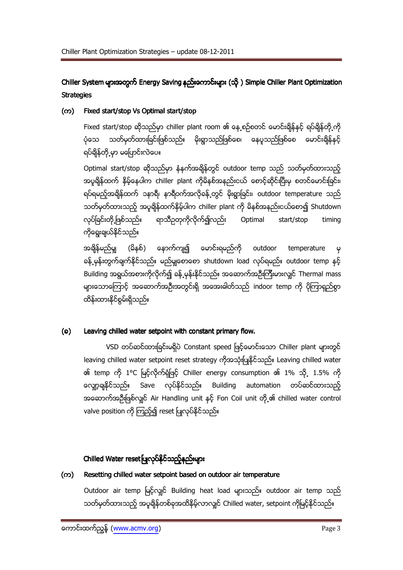Chiller System များအတွက် Energy Saving နည်းကောင်းများ (သို့) Simple Chiller Plant Optimization **Strategies** 

#### Fixed start/stop Vs Optimal start/stop  $(\infty)$

Fixed start/stop ဆိုသည်မှာ chiller plant room ၏ နေ့စဉ်စတင် မောင်းချိန်နှင့် ရပ်ချိန်တို့ကို ပုံသေ သတ်မှတ်ထားခြင်းဖြစ်သည်။ မိုးရွာသည်ဖြစ်စေ၊ နေပူသည်ဖြစ်စေ မောင်းချိန်နှင့် ရပ်ရှိန်တို့မှာ မပြောင်းလဲပေ။

Optimal start/stop ဆိုသည်မှာ နံနက်အချိန်တွင် outdoor temp သည် သတ်မှတ်ထားသည့် အပူရှိန်ထက် နိမ့်နေပါက chiller plant ကိုမိနစ်အနည်းငယ် စောင့်ဆိုင်းပြီးမှ စတင်မောင်းခြင်း၊ ရပ်ရမည့်အချိန်ထက် ၁နာရီ၊ နာရီဝက်အလိုခန့်တွင် မိုးရွာခြင်း၊ outdoor temperature သည် သတ်မှတ်ထားသည့် အပူရှိန်ထက်နိမ့်ပါက chiller plant ကို မိနစ်အနည်းငယ်စော၍ Shutdown လုပ်ခြင်းတို့ ဖြစ်သည်။ ရာသီဥတုကိုလိုက်ရျ်လည်း Optimal start/stop timing ကိုရွေးချယ်နိုင်သည်။

အရှိန်မည်မျှ (မိနစ်) နောက်ကျ၍ မောင်းရမည်ကို outdoor temperature  $\boldsymbol{\varphi}$ ခန့် မှန်းတွက်ချက်နိုင်သည်။ မည်မှုုတေတေ shutdown load လုပ်ရမည်။ outdoor temp နှင့် Building အရွယ်အစားကိုလိုက်၍ ခန့် မုန်းနိုင်သည်။ အဆောက်အဦးကြီးမားလျှင် Thermal mass များသောကြောင့် အဆောက်အဦးအတွင်းရှိ အအေးခါတ်သည် indoor temp ကို ပိုကြာရှည်စွာ ထိန်းထားနိုင်စွမ်းရှိသည်။

### $(a)$ Leaving chilled water setpoint with constant primary flow.

VSD တပ်ဆင်ထားခြင်းမရှိပဲ Constant speed ဖြင့်မောင်းသော Chiller plant များတွင် leaving chilled water setpoint reset strategy ကိုအသုံးပြုနိုင်သည်။ Leaving chilled water ၏ temp ကို 1°C မြင့်လိုက်ရုံဖြင့် Chiller energy consumption ၏ 1% သို့ 1.5% ကို ကျော့ချနိုင်သည်။ Save လုပ်နိုင်သည်။ Building automation တပ်ဆင်ထားသည့် အဆောက်အဦးဖြစ်လျင် Air Handling unit နှင့် Fon Coil unit တို့ ၏ chilled water control valve position ကို ကြည့်၍ reset ပြုလုပ်နိုင်သည်။

# Chilled Water reset ပြုလုပ်နိုင်သည့်နည်းများ

#### Resetting chilled water setpoint based on outdoor air temperature (က)

Outdoor air temp မြင့်လျင် Building heat load များသည်။ outdoor air temp သည် သတ်မှတ်ထားသည့် အပူရှိန်တစ်ခုအထိနိမ့်လာလျှင် Chilled water, setpoint ကိုမြင့်နိုင်သည်။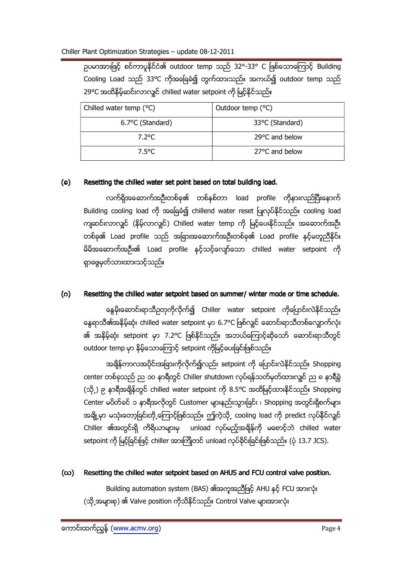ဥပမာအားဖြင့် စင်ကာပူနိုင်ငံ၏ outdoor temp သည် 32°-33° C ဖြစ်သောကြောင့် Building Cooling Load သည် 33°C ကိုအခြေခံ၍ တွက်ထားသည်။ အကယ်၍ outdoor temp သည် 29°C အထိနိမ့်ဆင်းလာလျှင် chilled water setpoint ကို မြင့်နိုင်သည်။

| Chilled water temp (°C) | Outdoor temp (°C) |
|-------------------------|-------------------|
| 6.7°C (Standard)        | 33°C (Standard)   |
| 7.2°C                   | 29°C and below    |
| 7.5°C                   | 27°C and below    |

## $(a)$ Resetting the chilled water set point based on total building load.

လက်ရှိအဆောက်အဦးတစ်ခု၏ တစ်နှစ်တာ load profile ကိုနားလည်ပြီးနောက် Building cooling load ကို အခြေခံ၍ chillend water reset ပြုလုပ်နိုင်သည်။ cooling load ကျဆင်းလာလျှင် (နိမ့်လာလျှင်) Chilled water temp ကို မြင့်ပေးနိုင်သည်။ အဆောက်အဦး တစ်ခု၏ Load profile သည် အခြားအဆောက်အဦးတစ်ခု၏ Load profile နှင့်မတူညီနိုင်။ မိမိအဆောက်အဦး၏ Load profile နှင့်သင့်လျော်သော chilled water setpoint ကို ရှာဖွေမှတ်သားထားသင့်သည်။

## $(0)$ Resetting the chilled water setpoint based on summer/ winter mode or time schedule.

နွေမိုးဆောင်းရာသီဥတုကိုလိုက်၍ Chiller water setpoint ကိုပြောင်းလဲနိုင်သည်။ နေ့ရာသီ၏အနိမ့်ဆုံး chilled water setpoint မှာ 6.7°C ဖြစ်လျင် ဆောင်းရာသီတစ်လျောက်လုံး ၏ အနိမ့်ဆုံး setpoint မှာ 7.2℃ ဖြစ်နိုင်သည်။ အဘယ်ကြောင့်ဆိုသော် ဆောင်းရာသီတွင် outdoor temp မှာ နိမ့်သောကြောင့် setpoint ကိုမြင့်ပေးခြင်းဖြစ်သည်။

အချိန်ကာလအပိုင်းအခြားကိုလိုက်၍လည်း setpoint ကို ပြောင်းလဲနိုင်သည်။ Shopping center တစ်ခုသည် ည ၁ဝ နာရီတွင် Chiller shutdown လုပ်ရန်သတ်မှတ်ထားလျှင် ည ၈ နာရီခွဲ (သို့့) ၉ နာရီအရိန်တွင် chilled water setpoint ကို 8.5°C အထိမြင့်ထားနိုင်သည်။ Shopping Center မပိတ်ခင် ၁ နာရီအလိုတွင် Customer များနည်းသွားခြင်း ၊ Shopping အတွင်းရှိစက်များ အချို့မှာ မသုံးတော့ခြင်းတို့ကြောင့်ဖြစ်သည်။ ဤကဲ့သို့ cooling load ကို predict လုပ်နိုင်လျှင် Chiller ၏အတွင်းရှိ ကိရိယာများမှ unload လုပ်မည့်အချိန်ကို မစောင့်ဘဲ chilled water setpoint ကို မြင့်ခြင်းဖြင့် chiller အားကြိုတင် unload လုပ်ခိုင်းခြင်းဖြစ်သည်။ (ပုံ 13.7 JCS).

## Resetting the chilled water setpoint based on AHUS and FCU control valve position. (ဃ)

Building automation system (BAS) ၏အကူအညီဖြင့် AHU နှင့် FCU အားလုံး (သို့အများစု) ၏ Valve position ကိုသိနိုင်သည်။ Control Valve များအားလုံး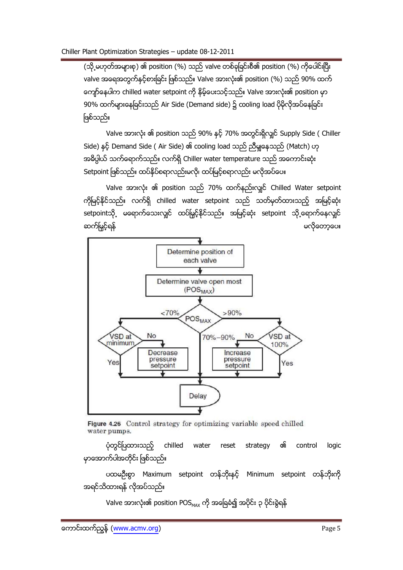(သို့ မဟုတ်အများစု) ၏ position (%) သည် valve တစ်ခုခြင်းစီ၏ position (%) ကိုပေါင်းပြီး valve အရေအတွက်နှင့်စားခြင်း ဖြစ်သည်။ Valve အားလုံး၏ position (%) သည် 90% ထက် ကျော်နေပါက chilled water setpoint ကို နိမ့်ပေးသင့်သည်။ Valve အားလုံး၏ position မှာ 90% ထက်များနေခြင်းသည် Air Side (Demand side) ၌ cooling load ပိုမိုလိုအပ်နေခြင်း ဖြစ်သည်။

Valve အားလုံး ၏ position သည် 90% နှင့် 70% အတွင်းရှိလျင် Supply Side ( Chiller Side) နှင့် Demand Side ( Air Side) ၏ cooling load သည် ညီမှုုနေသည် (Match) ဟု အဓိပ္ပါယ် သက်ရောက်သည်။ လက်ရှိ Chiller water temperature သည် အကောင်းဆုံး Setpoint ဖြစ်သည်။ ထပ်နိုပ်စရာလည်းမလို၊ ထပ်မြင့်စရာလည်း မလိုအပ်ပေ။

Valve အားလုံး ၏ position သည် 70% ထက်နည်းလျင် Chilled Water setpoint ကိုမြင့်နိုင်သည်။ လက်ရှိ chilled water setpoint သည် သတ်မှတ်ထားသည့် အမြင့်ဆုံး setpointသို့ မရောက်သေးလျင် ထပ်မြှင့်နိုင်သည်။ အမြင့်ဆုံး setpoint သို့ရောက်နေလျင် ဆက်မြှင့်ရန် မလိုတော့ပေ။



Figure 4.26 Control strategy for optimizing variable speed chilled water pumps.

ပုံတွင်ပြထားသည့် chilled ର୍ଜା water reset strategy control logic မှာအောက်ပါအတိုင်း ဖြစ်သည်။

ပထမဦးစွာ Maximum setpoint တန်ဘိုးနှင့် Minimum setpoint တန်ဘိုးကို အရင်သိထားရန် လိုအပ်သည်။

Valve အားလုံး၏ position POS MAX ကို အခြေခံ၍ အပိုင်း ၃ ပိုင်းခွဲရန်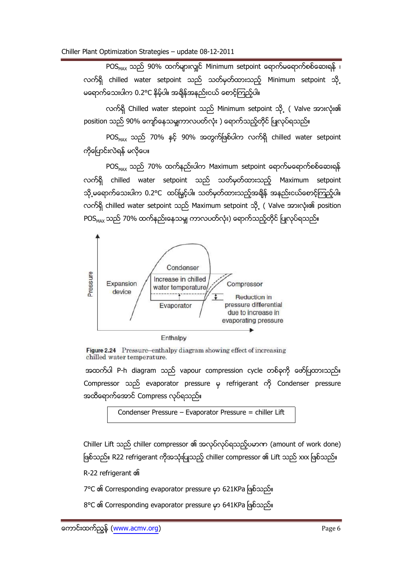POS<sub>MAX</sub> သည် 90% ထက်များလျှင် Minimum setpoint ရောက်မရောက်စစ်ဆေးရန် ၊ လက်ရှိ chilled water setpoint သည် သတ်မှတ်ထားသည့် Minimum setpoint သို့ မရောက်သေးပါက 0.2°C နိမ့်ပါ။ အချိန်အနည်းငယ် စောင့်ကြည့်ပါ။

လက်ရှိ Chilled water stepoint သည် Minimum setpoint သို့ ( Valve အားလုံး၏ position သည် 90% ကျော်နေသမျှကာလပတ်လုံး ) ရောက်သည့်တိုင် ပြုလုပ်ရသည်။

POS<sub>MAX</sub> သည် 70% နှင့် 90% အတွက်ဖြစ်ပါက လက်ရှိ chilled water setpoint ကိုပြောင်းလဲရန် မလိုပေ။

 $POS_{MAX}$  သည် 70% ထက်နည်းပါက Maximum setpoint ရောက်မရောက်စစ်ဆေးရန် လက်ရှိ chilled water setpoint သည် သတ်မှတ်ထားသည့် Maximum setpoint သို့ မရောက်သေးပါက 0.2°C ထပ်မြှင့်ပါ။ သတ်မှတ်ထားသည့်အချိန် အနည်းငယ်စောင့်ကြည့်ပါ။ လက်ရှိ chilled water setpoint သည် Maximum setpoint သို့ ( Valve အားလုံး၏ position POS<sub>MAX</sub> သည် 70% ထက်နည်းနေသမျှ ကာလပတ်လုံး) ရောက်သည့်တိုင် ပြုလုပ်ရသည်။



Figure 2.24 Pressure-enthalpy diagram showing effect of increasing chilled water temperature.

အထက်ပါ P-h diagram သည် vapour compression cycle တစ်ခုကို ဖော်ပြထားသည်။ Compressor သည် evaporator pressure မှ refrigerant ကို Condenser pressure အထိရောက်အောင် Compress လုပ်ရသည်။

Chiller Lift သည် chiller compressor ၏ အလုပ်လုပ်ရသည့်ပမာဏ (amount of work done) ဖြစ်သည်။ R22 refrigerant ကိုအသုံးပြုသည့် chiller compressor ၏ Lift သည် xxx ဖြစ်သည်။

R-22 refrigerant on

7°C ၏ Corresponding evaporator pressure မှာ 621KPa ဖြစ်သည်။

8°C ၏ Corresponding evaporator pressure မှာ 641KPa ဖြစ်သည်။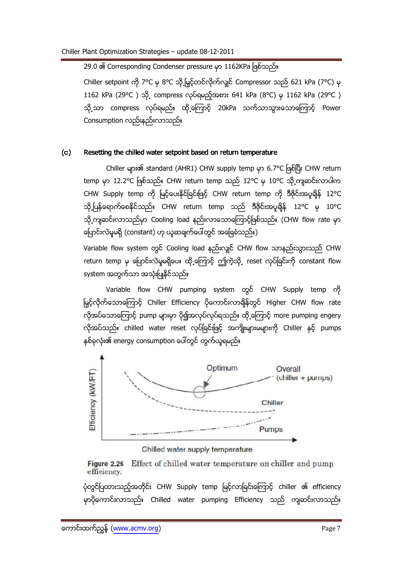## 29.0 ၏ Corresponding Condenser pressure မှာ 1162KPa ဖြစ်သည်။

Chiller setpoint ကို 7°C မှ 8°C သို့မြှင့်တင်လိုက်လျှင် Compressor သည် 621 kPa (7°C) မှ 1162 kPa (29°C ) သို့ compress လုပ်ရမည့်အစား 641 kPa (8°C) မှ 1162 kPa (29°C ) သို့သာ compress လုပ်ရမည်။ ထို့ကြောင့် 20kPa သက်သာသွားသောကြောင့် Power Consumption လည်းနည်းလာသည်။

#### $(c)$ Resetting the chilled water setpoint based on return temperature

Chiller များ၏ standard (AHR1) CHW supply temp မှာ 6.7°C ဖြစ်ပြီး CHW return temp မှာ 12.2°C ဖြစ်သည်။ CHW return temp သည် 12°C မှ 10°C သို့ကျဆင်းလာပါက CHW Supply temp ကို မြင့်ပေးနိုင်ခြင်းဖြင့် CHW return temp ကို ဒီဇိုင်းအပူချိန် 12°C သို့ပြန်ရောက်စေနိုင်သည်။ CHW return temp သည် ဒီဇိုင်းအပူချိန် 12°C မှ 10°C သို့ကျဆင်းလာသည်မှာ Cooling load နည်းလာသောကြောင့်ဖြစ်သည်။ (CHW flow rate မှာ ပြောင်းလဲမှုမရှိ (constant) ဟု ယူဆချက်ပေါ်တွင် အခြေခံသည်။)

Variable flow system တွင် Cooling load နည်းလျှင် CHW flow သာနည်းသွားသည် CHW return temp မှ ပြောင်းလဲမှုမရှိပေ။ ထို့ကြောင့် ဤကဲ့သို့ reset လုပ်ခြင်းကို constant flow system အတွက်သာ အသုံးပြုနိုင်သည်။

Variable flow CHW pumping system တွင် CHW Supply temp ကို မြှင့်လိုက်သောကြောင့် Chiller Efficiency ပိုကောင်းလာချိန်တွင် Higher CHW flow rate လိုအပ်သောကြောင့် pump များမှာ ပို၍အလုပ်လုပ်ရသည်။ ထို့ကြောင့် more pumping engery လိုအပ်သည်။ chilled water reset လုပ်ခြင်းဖြင့် အကျိုးများမများကို Chiller နှင့် pumps နှစ်ခုလုံး၏ energy consumption ပေါ်တွင် တွက်ယူရမည်။



Chilled water supply temperature

Effect of chilled water temperature on chiller and pump Figure 2.26 efficiency.

ပုံတွင်ပြထားသည့်အတိုင်း CHW Supply temp မြင့်လာခြင်းကြောင့် chiller ၏ efficiency မှာပိုကောင်းလာသည်။ Chilled water pumping Efficiency သည် ကျဆင်းလာသည်။